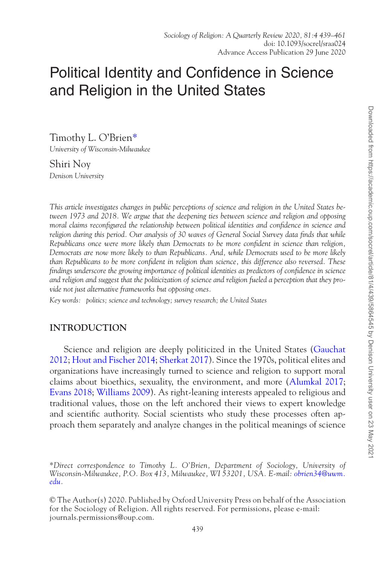# Political Identity and Confidence in Science and Religion in the United States

Timothy L. O'Brien[\\*](#page-0-0)

*University of Wisconsin-Milwaukee*

Shiri Noy *Denison University*

*This article investigates changes in public perceptions of science and religion in the United States between 1973 and 2018. We argue that the deepening ties between science and religion and opposing moral claims reconfigured the relationship between political identities and confidence in science and religion during this period. Our analysis of 30 waves of General Social Survey data finds that while Republicans once were more likely than Democrats to be more confident in science than religion, Democrats are now more likely to than Republicans. And, while Democrats used to be more likely than Republicans to be more confident in religion than science, this difference also reversed. These findings underscore the growing importance of political identities as predictors of confidence in science and religion and suggest that the politicization of science and religion fueled a perception that they provide not just alternative frameworks but opposing ones.*

*Key words: politics; science and technology; survey research; the United States*

# **INTRODUCTION**

Science and religion are deeply politicized in the United States [\(Gauchat](#page-21-0)  [2012](#page-21-0); [Hout and Fischer 2014;](#page-21-1) [Sherkat 2017](#page-22-0)). Since the 1970s, political elites and organizations have increasingly turned to science and religion to support moral claims about bioethics, sexuality, the environment, and more ([Alumkal 2017;](#page-20-0) [Evans 2018](#page-20-1); [Williams 2009](#page-22-1)). As right-leaning interests appealed to religious and traditional values, those on the left anchored their views to expert knowledge and scientific authority. Social scientists who study these processes often approach them separately and analyze changes in the political meanings of science

<span id="page-0-0"></span>*\*Direct correspondence to Timothy L. O'Brien, Department of Sociology, University of Wisconsin-Milwaukee, P.O. Box 413, Milwaukee, WI 53201, USA. E-mail: [obrien34@uwm.](mailto:obrien34@uwm.edu?subject=) [edu](mailto:obrien34@uwm.edu?subject=).*

© The Author(s) 2020. Published by Oxford University Press on behalf of the Association for the Sociology of Religion. All rights reserved. For permissions, please e-mail: journals.permissions@oup.com.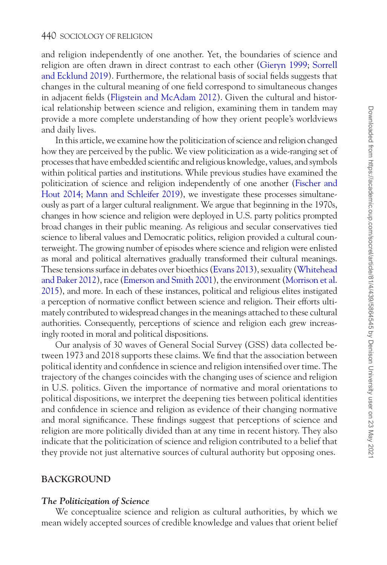and religion independently of one another. Yet, the boundaries of science and religion are often drawn in direct contrast to each other [\(Gieryn 1999](#page-21-2); [Sorrell](#page-22-2)  [and Ecklund 2019\)](#page-22-2). Furthermore, the relational basis of social fields suggests that changes in the cultural meaning of one field correspond to simultaneous changes in adjacent fields ([Fligstein and McAdam 2012](#page-20-2)). Given the cultural and historical relationship between science and religion, examining them in tandem may provide a more complete understanding of how they orient people's worldviews and daily lives.

In this article, we examine how the politicization of science and religion changed how they are perceived by the public. We view politicization as a wide-ranging set of processes that have embedded scientific and religious knowledge, values, and symbols within political parties and institutions. While previous studies have examined the politicization of science and religion independently of one another ([Fischer and](#page-21-1)  [Hout 2014;](#page-21-1) [Mann and Schleifer 2019](#page-21-3)), we investigate these processes simultaneously as part of a larger cultural realignment. We argue that beginning in the 1970s, changes in how science and religion were deployed in U.S. party politics prompted broad changes in their public meaning. As religious and secular conservatives tied science to liberal values and Democratic politics, religion provided a cultural counterweight. The growing number of episodes where science and religion were enlisted as moral and political alternatives gradually transformed their cultural meanings. These tensions surface in debates over bioethics ([Evans 2013](#page-20-3)), sexuality [\(Whitehead](#page-22-3)  [and Baker 2012\)](#page-22-3), race [\(Emerson and Smith 2001](#page-20-4)), the environment [\(Morrison et al.](#page-21-4)  [2015](#page-21-4)), and more. In each of these instances, political and religious elites instigated a perception of normative conflict between science and religion. Their efforts ultimately contributed to widespread changes in the meanings attached to these cultural authorities. Consequently, perceptions of science and religion each grew increasingly rooted in moral and political dispositions.

Our analysis of 30 waves of General Social Survey (GSS) data collected between 1973 and 2018 supports these claims. We find that the association between political identity and confidence in science and religion intensified over time. The trajectory of the changes coincides with the changing uses of science and religion in U.S. politics. Given the importance of normative and moral orientations to political dispositions, we interpret the deepening ties between political identities and confidence in science and religion as evidence of their changing normative and moral significance. These findings suggest that perceptions of science and religion are more politically divided than at any time in recent history. They also indicate that the politicization of science and religion contributed to a belief that they provide not just alternative sources of cultural authority but opposing ones.

# **BACKGROUND**

# *The Politicization of Science*

We conceptualize science and religion as cultural authorities, by which we mean widely accepted sources of credible knowledge and values that orient belief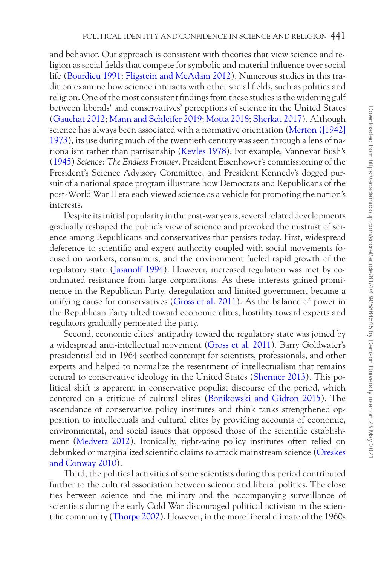and behavior. Our approach is consistent with theories that view science and religion as social fields that compete for symbolic and material influence over social life [\(Bourdieu 1991](#page-20-5); [Fligstein and McAdam 2012](#page-20-2)). Numerous studies in this tradition examine how science interacts with other social fields, such as politics and religion. One of the most consistent findings from these studies is the widening gulf between liberals' and conservatives' perceptions of science in the United States [\(Gauchat 2012](#page-21-0); [Mann and Schleifer 2019](#page-21-3); [Motta 2018;](#page-21-5) [Sherkat 2017](#page-22-0)). Although science has always been associated with a normative orientation [\(Merton \(\[1942\]](#page-21-6)  [1973](#page-21-6)), its use during much of the twentieth century was seen through a lens of nationalism rather than partisanship [\(Kevles 1978](#page-21-7)). For example, Vannevar Bush's (1945) *Science: The Endless Frontier*, President Eisenhower's commissioning of the President's Science Advisory Committee, and President Kennedy's dogged pursuit of a national space program illustrate how Democrats and Republicans of the post-World War II era each viewed science as a vehicle for promoting the nation's interests.

Despite its initial popularity in the post-war years, several related developments gradually reshaped the public's view of science and provoked the mistrust of science among Republicans and conservatives that persists today. First, widespread deference to scientific and expert authority coupled with social movements focused on workers, consumers, and the environment fueled rapid growth of the regulatory state [\(Jasanoff 1994\)](#page-21-8). However, increased regulation was met by coordinated resistance from large corporations. As these interests gained prominence in the Republican Party, deregulation and limited government became a unifying cause for conservatives ([Gross et al. 2011\)](#page-21-9). As the balance of power in the Republican Party tilted toward economic elites, hostility toward experts and regulators gradually permeated the party.

Second, economic elites' antipathy toward the regulatory state was joined by a widespread anti-intellectual movement [\(Gross et al. 2011\)](#page-21-9). Barry Goldwater's presidential bid in 1964 seethed contempt for scientists, professionals, and other experts and helped to normalize the resentment of intellectualism that remains central to conservative ideology in the United States [\(Shermer 2013](#page-22-4)). This political shift is apparent in conservative populist discourse of the period, which centered on a critique of cultural elites [\(Bonikowski and Gidron 2015\)](#page-20-6). The ascendance of conservative policy institutes and think tanks strengthened opposition to intellectuals and cultural elites by providing accounts of economic, environmental, and social issues that opposed those of the scientific establishment [\(Medvetz 2012](#page-21-10)). Ironically, right-wing policy institutes often relied on debunked or marginalized scientific claims to attack mainstream science ([Oreskes](#page-21-11)  [and Conway 2010\)](#page-21-11).

Third, the political activities of some scientists during this period contributed further to the cultural association between science and liberal politics. The close ties between science and the military and the accompanying surveillance of scientists during the early Cold War discouraged political activism in the scientific community [\(Thorpe 2002](#page-22-5)). However, in the more liberal climate of the 1960s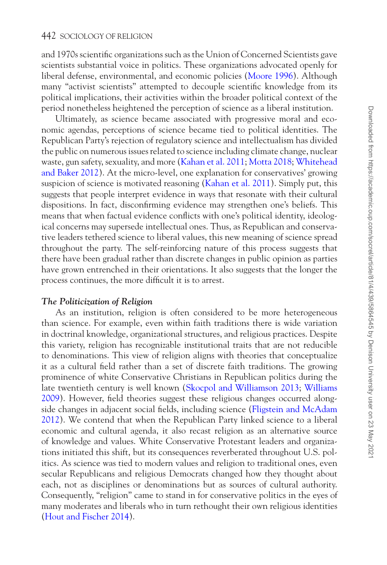and 1970s scientific organizations such as the Union of Concerned Scientists gave scientists substantial voice in politics. These organizations advocated openly for liberal defense, environmental, and economic policies ([Moore 1996](#page-21-12)). Although many "activist scientists" attempted to decouple scientific knowledge from its political implications, their activities within the broader political context of the period nonetheless heightened the perception of science as a liberal institution.

Ultimately, as science became associated with progressive moral and economic agendas, perceptions of science became tied to political identities. The Republican Party's rejection of regulatory science and intellectualism has divided the public on numerous issues related to science including climate change, nuclear waste, gun safety, sexuality, and more ([Kahan et al. 2011;](#page-21-13) [Motta 2018;](#page-21-5) [Whitehead](#page-22-3)  [and Baker 2012](#page-22-3)). At the micro-level, one explanation for conservatives' growing suspicion of science is motivated reasoning ([Kahan et al. 2011](#page-21-13)). Simply put, this suggests that people interpret evidence in ways that resonate with their cultural dispositions. In fact, disconfirming evidence may strengthen one's beliefs. This means that when factual evidence conflicts with one's political identity, ideological concerns may supersede intellectual ones. Thus, as Republican and conservative leaders tethered science to liberal values, this new meaning of science spread throughout the party. The self-reinforcing nature of this process suggests that there have been gradual rather than discrete changes in public opinion as parties have grown entrenched in their orientations. It also suggests that the longer the process continues, the more difficult it is to arrest.

# *The Politicization of Religion*

As an institution, religion is often considered to be more heterogeneous than science. For example, even within faith traditions there is wide variation in doctrinal knowledge, organizational structures, and religious practices. Despite this variety, religion has recognizable institutional traits that are not reducible to denominations. This view of religion aligns with theories that conceptualize it as a cultural field rather than a set of discrete faith traditions. The growing prominence of white Conservative Christians in Republican politics during the late twentieth century is well known ([Skocpol and Williamson 2013](#page-22-6); [Williams](#page-22-1)  [2009](#page-22-1)). However, field theories suggest these religious changes occurred alongside changes in adjacent social fields, including science ([Fligstein and McAdam](#page-20-2)  [2012](#page-20-2)). We contend that when the Republican Party linked science to a liberal economic and cultural agenda, it also recast religion as an alternative source of knowledge and values. White Conservative Protestant leaders and organizations initiated this shift, but its consequences reverberated throughout U.S. politics. As science was tied to modern values and religion to traditional ones, even secular Republicans and religious Democrats changed how they thought about each, not as disciplines or denominations but as sources of cultural authority. Consequently, "religion" came to stand in for conservative politics in the eyes of many moderates and liberals who in turn rethought their own religious identities [\(Hout and Fischer 2014](#page-21-1)).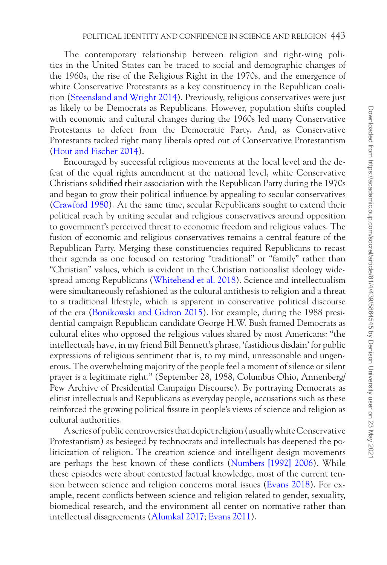The contemporary relationship between religion and right-wing politics in the United States can be traced to social and demographic changes of the 1960s, the rise of the Religious Right in the 1970s, and the emergence of white Conservative Protestants as a key constituency in the Republican coalition [\(Steensland and Wright 2014\)](#page-22-7). Previously, religious conservatives were just as likely to be Democrats as Republicans. However, population shifts coupled with economic and cultural changes during the 1960s led many Conservative Protestants to defect from the Democratic Party. And, as Conservative Protestants tacked right many liberals opted out of Conservative Protestantism [\(Hout and Fischer 2014](#page-21-1)).

Encouraged by successful religious movements at the local level and the defeat of the equal rights amendment at the national level, white Conservative Christians solidified their association with the Republican Party during the 1970s and began to grow their political influence by appealing to secular conservatives [\(Crawford 1980](#page-20-7)). At the same time, secular Republicans sought to extend their political reach by uniting secular and religious conservatives around opposition to government's perceived threat to economic freedom and religious values. The fusion of economic and religious conservatives remains a central feature of the Republican Party. Merging these constituencies required Republicans to recast their agenda as one focused on restoring "traditional" or "family" rather than "Christian" values, which is evident in the Christian nationalist ideology widespread among Republicans [\(Whitehead et al. 2018\)](#page-22-8). Science and intellectualism were simultaneously refashioned as the cultural antithesis to religion and a threat to a traditional lifestyle, which is apparent in conservative political discourse of the era ([Bonikowski and Gidron 2015\)](#page-20-6). For example, during the 1988 presidential campaign Republican candidate George H.W. Bush framed Democrats as cultural elites who opposed the religious values shared by most Americans: "the intellectuals have, in my friend Bill Bennett's phrase, 'fastidious disdain' for public expressions of religious sentiment that is, to my mind, unreasonable and ungenerous. The overwhelming majority of the people feel a moment of silence or silent prayer is a legitimate right." (September 28, 1988, Columbus Ohio, Annenberg/ Pew Archive of Presidential Campaign Discourse). By portraying Democrats as elitist intellectuals and Republicans as everyday people, accusations such as these reinforced the growing political fissure in people's views of science and religion as cultural authorities.

A series of public controversies that depict religion (usually white Conservative Protestantism) as besieged by technocrats and intellectuals has deepened the politicization of religion. The creation science and intelligent design movements are perhaps the best known of these conflicts [\(Numbers \[1992\] 2006](#page-21-14)). While these episodes were about contested factual knowledge, most of the current tension between science and religion concerns moral issues ([Evans 2018\)](#page-20-1). For example, recent conflicts between science and religion related to gender, sexuality, biomedical research, and the environment all center on normative rather than intellectual disagreements ([Alumkal 2017;](#page-20-0) [Evans 2011](#page-20-8)).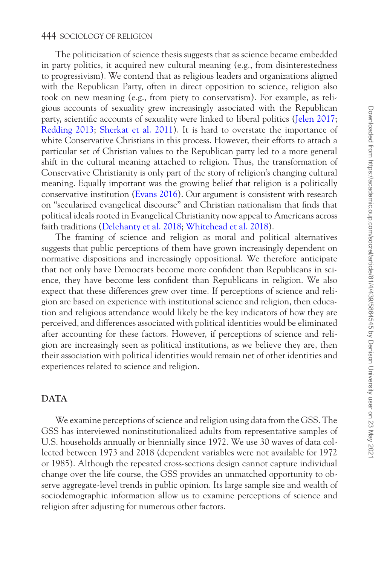The politicization of science thesis suggests that as science became embedded in party politics, it acquired new cultural meaning (e.g., from disinterestedness to progressivism). We contend that as religious leaders and organizations aligned with the Republican Party, often in direct opposition to science, religion also took on new meaning (e.g., from piety to conservatism). For example, as religious accounts of sexuality grew increasingly associated with the Republican party, scientific accounts of sexuality were linked to liberal politics [\(Jelen 2017;](#page-21-15) [Redding 2013;](#page-21-16) [Sherkat et al. 2011](#page-22-9)). It is hard to overstate the importance of white Conservative Christians in this process. However, their efforts to attach a particular set of Christian values to the Republican party led to a more general shift in the cultural meaning attached to religion. Thus, the transformation of Conservative Christianity is only part of the story of religion's changing cultural meaning. Equally important was the growing belief that religion is a politically conservative institution [\(Evans 2016\)](#page-20-9). Our argument is consistent with research on "secularized evangelical discourse" and Christian nationalism that finds that political ideals rooted in Evangelical Christianity now appeal to Americans across faith traditions [\(Delehanty et al. 2018](#page-20-10); [Whitehead et al. 2018](#page-22-8)).

The framing of science and religion as moral and political alternatives suggests that public perceptions of them have grown increasingly dependent on normative dispositions and increasingly oppositional. We therefore anticipate that not only have Democrats become more confident than Republicans in science, they have become less confident than Republicans in religion. We also expect that these differences grew over time. If perceptions of science and religion are based on experience with institutional science and religion, then education and religious attendance would likely be the key indicators of how they are perceived, and differences associated with political identities would be eliminated after accounting for these factors. However, if perceptions of science and religion are increasingly seen as political institutions, as we believe they are, then their association with political identities would remain net of other identities and experiences related to science and religion.

# **DATA**

We examine perceptions of science and religion using data from the GSS. The GSS has interviewed noninstitutionalized adults from representative samples of U.S. households annually or biennially since 1972. We use 30 waves of data collected between 1973 and 2018 (dependent variables were not available for 1972 or 1985). Although the repeated cross-sections design cannot capture individual change over the life course, the GSS provides an unmatched opportunity to observe aggregate-level trends in public opinion. Its large sample size and wealth of sociodemographic information allow us to examine perceptions of science and religion after adjusting for numerous other factors.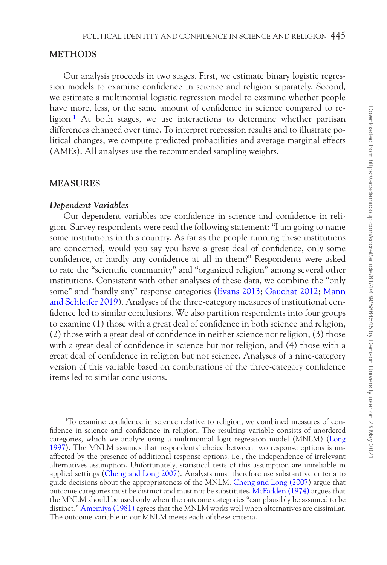# **METHODS**

Our analysis proceeds in two stages. First, we estimate binary logistic regression models to examine confidence in science and religion separately. Second, we estimate a multinomial logistic regression model to examine whether people have more, less, or the same amount of confidence in science compared to religion[.1](#page-6-0) At both stages, we use interactions to determine whether partisan differences changed over time. To interpret regression results and to illustrate political changes, we compute predicted probabilities and average marginal effects (AMEs). All analyses use the recommended sampling weights.

## **MEASURES**

#### *Dependent Variables*

Our dependent variables are confidence in science and confidence in religion. Survey respondents were read the following statement: "I am going to name some institutions in this country. As far as the people running these institutions are concerned, would you say you have a great deal of confidence, only some confidence, or hardly any confidence at all in them?" Respondents were asked to rate the "scientific community" and "organized religion" among several other institutions. Consistent with other analyses of these data, we combine the "only some" and "hardly any" response categories ([Evans 2013](#page-20-3); [Gauchat 2012;](#page-21-0) [Mann](#page-21-3)  [and Schleifer 2019\)](#page-21-3). Analyses of the three-category measures of institutional confidence led to similar conclusions. We also partition respondents into four groups to examine (1) those with a great deal of confidence in both science and religion, (2) those with a great deal of confidence in neither science nor religion, (3) those with a great deal of confidence in science but not religion, and (4) those with a great deal of confidence in religion but not science. Analyses of a nine-category version of this variable based on combinations of the three-category confidence items led to similar conclusions.

<span id="page-6-0"></span><sup>1</sup> To examine confidence in science relative to religion, we combined measures of confidence in science and confidence in religion. The resulting variable consists of unordered categories, which we analyze using a multinomial logit regression model (MNLM) [\(Long](#page-21-17)  [1997\)](#page-21-17). The MNLM assumes that respondents' choice between two response options is unaffected by the presence of additional response options, i.e., the independence of irrelevant alternatives assumption. Unfortunately, statistical tests of this assumption are unreliable in applied settings ([Cheng and Long 2007\)](#page-20-11). Analysts must therefore use substantive criteria to guide decisions about the appropriateness of the MNLM. [Cheng and Long \(2007](#page-20-11)) argue that outcome categories must be distinct and must not be substitutes. [McFadden \(1974\)](#page-21-18) argues that the MNLM should be used only when the outcome categories "can plausibly be assumed to be distinct." [Amemiya \(1981\)](#page-20-12) agrees that the MNLM works well when alternatives are dissimilar. The outcome variable in our MNLM meets each of these criteria.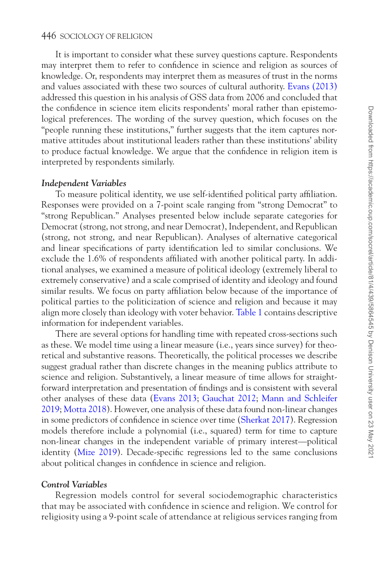It is important to consider what these survey questions capture. Respondents may interpret them to refer to confidence in science and religion as sources of knowledge. Or, respondents may interpret them as measures of trust in the norms and values associated with these two sources of cultural authority. [Evans \(2013\)](#page-20-3) addressed this question in his analysis of GSS data from 2006 and concluded that the confidence in science item elicits respondents' moral rather than epistemological preferences. The wording of the survey question, which focuses on the "people running these institutions," further suggests that the item captures normative attitudes about institutional leaders rather than these institutions' ability to produce factual knowledge. We argue that the confidence in religion item is interpreted by respondents similarly.

#### *Independent Variables*

To measure political identity, we use self-identified political party affiliation. Responses were provided on a 7-point scale ranging from "strong Democrat" to "strong Republican." Analyses presented below include separate categories for Democrat (strong, not strong, and near Democrat), Independent, and Republican (strong, not strong, and near Republican). Analyses of alternative categorical and linear specifications of party identification led to similar conclusions. We exclude the 1.6% of respondents affiliated with another political party. In additional analyses, we examined a measure of political ideology (extremely liberal to extremely conservative) and a scale comprised of identity and ideology and found similar results. We focus on party affiliation below because of the importance of political parties to the politicization of science and religion and because it may align more closely than ideology with voter behavior. [Table 1](#page-8-0) contains descriptive information for independent variables.

There are several options for handling time with repeated cross-sections such as these. We model time using a linear measure (i.e., years since survey) for theoretical and substantive reasons. Theoretically, the political processes we describe suggest gradual rather than discrete changes in the meaning publics attribute to science and religion. Substantively, a linear measure of time allows for straightforward interpretation and presentation of findings and is consistent with several other analyses of these data ([Evans 2013;](#page-20-3) [Gauchat 2012](#page-21-0); [Mann and Schleifer](#page-21-3)  [2019](#page-21-3); [Motta 2018\)](#page-21-5). However, one analysis of these data found non-linear changes in some predictors of confidence in science over time [\(Sherkat 2017](#page-22-0)). Regression models therefore include a polynomial (i.e., squared) term for time to capture non-linear changes in the independent variable of primary interest—political identity ([Mize 2019](#page-21-19)). Decade-specific regressions led to the same conclusions about political changes in confidence in science and religion.

# *Control Variables*

Regression models control for several sociodemographic characteristics that may be associated with confidence in science and religion. We control for religiosity using a 9-point scale of attendance at religious services ranging from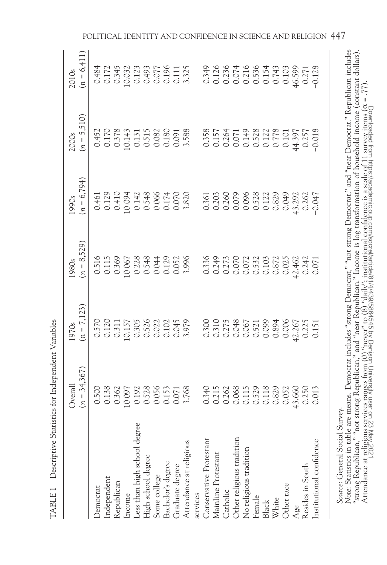|                                                                                                                                                                                                                                                                                                                                                                                                                                                                                                                                                              | $(n = 34,367)$<br>Overall                  | $(n = 7, 123)$<br>1970s                                             | $(n = 8,529)$<br>1980s                             | $(n = 6, 794)$<br>1990s                                                                  | $(n = 5,510)$<br><b>2000s</b>                                                                                                                                           | $(n = 6, 411)$<br>2010s                                                                                                                                                                                                                                                                             |
|--------------------------------------------------------------------------------------------------------------------------------------------------------------------------------------------------------------------------------------------------------------------------------------------------------------------------------------------------------------------------------------------------------------------------------------------------------------------------------------------------------------------------------------------------------------|--------------------------------------------|---------------------------------------------------------------------|----------------------------------------------------|------------------------------------------------------------------------------------------|-------------------------------------------------------------------------------------------------------------------------------------------------------------------------|-----------------------------------------------------------------------------------------------------------------------------------------------------------------------------------------------------------------------------------------------------------------------------------------------------|
| <b>Democrat</b>                                                                                                                                                                                                                                                                                                                                                                                                                                                                                                                                              | 0.500                                      | 0.570<br>0.120<br>0.1571 0.305<br>0.520<br>0.0.0.2020<br>0.0.0.2020 | 0.516<br>0.115<br>0.369                            | 0.461                                                                                    | $\begin{array}{l} 0.452 \\ 0.170 \\ 0.378 \\ 0.0143 \\ 0.131 \\ 0.0515 \\ 0.080 \\ 0.000 \\ 0.038 \\ 0.030 \\ 0.030 \\ 0.030 \\ 0.030 \\ 0.030 \\ 0.030 \\ \end{array}$ | 0.484<br>0.1723<br>0.0.0.173<br>0.0.0.0.0.0.11<br>0.0.0.0.0.11<br>0.0.0.0.0.11                                                                                                                                                                                                                      |
| Independent<br>Republican                                                                                                                                                                                                                                                                                                                                                                                                                                                                                                                                    | 0.138<br>0.362                             |                                                                     |                                                    | 0.129<br>0.410<br>0.034<br>0.0348<br>0.0348<br>0.070<br>0.070<br>0.070<br>0.070<br>0.070 |                                                                                                                                                                         |                                                                                                                                                                                                                                                                                                     |
| Income                                                                                                                                                                                                                                                                                                                                                                                                                                                                                                                                                       | 10.097<br>0.192<br>0.578<br>0.056<br>0.153 |                                                                     |                                                    |                                                                                          |                                                                                                                                                                         |                                                                                                                                                                                                                                                                                                     |
| Less than high school degree                                                                                                                                                                                                                                                                                                                                                                                                                                                                                                                                 |                                            |                                                                     |                                                    |                                                                                          |                                                                                                                                                                         |                                                                                                                                                                                                                                                                                                     |
| High school degree                                                                                                                                                                                                                                                                                                                                                                                                                                                                                                                                           |                                            |                                                                     | 0.067<br>0.228<br>0.548<br>0.044<br>0.052<br>0.052 |                                                                                          |                                                                                                                                                                         |                                                                                                                                                                                                                                                                                                     |
| Some college                                                                                                                                                                                                                                                                                                                                                                                                                                                                                                                                                 |                                            |                                                                     |                                                    |                                                                                          |                                                                                                                                                                         |                                                                                                                                                                                                                                                                                                     |
| Bachelor's degree                                                                                                                                                                                                                                                                                                                                                                                                                                                                                                                                            |                                            |                                                                     |                                                    |                                                                                          |                                                                                                                                                                         |                                                                                                                                                                                                                                                                                                     |
| Graduate degree                                                                                                                                                                                                                                                                                                                                                                                                                                                                                                                                              | 0.071                                      |                                                                     |                                                    |                                                                                          |                                                                                                                                                                         |                                                                                                                                                                                                                                                                                                     |
| Attendance at religious                                                                                                                                                                                                                                                                                                                                                                                                                                                                                                                                      |                                            |                                                                     |                                                    |                                                                                          |                                                                                                                                                                         |                                                                                                                                                                                                                                                                                                     |
| services                                                                                                                                                                                                                                                                                                                                                                                                                                                                                                                                                     |                                            |                                                                     |                                                    |                                                                                          |                                                                                                                                                                         |                                                                                                                                                                                                                                                                                                     |
| Conservative Protestant                                                                                                                                                                                                                                                                                                                                                                                                                                                                                                                                      |                                            | 0.300<br>0.310<br>0.275<br>0.067<br>0.521<br>0.099                  |                                                    |                                                                                          |                                                                                                                                                                         |                                                                                                                                                                                                                                                                                                     |
| Mainline Protestant                                                                                                                                                                                                                                                                                                                                                                                                                                                                                                                                          |                                            |                                                                     |                                                    |                                                                                          |                                                                                                                                                                         |                                                                                                                                                                                                                                                                                                     |
| Catholic                                                                                                                                                                                                                                                                                                                                                                                                                                                                                                                                                     | 0.340<br>0.215<br>0.262<br>0.068<br>0.115  |                                                                     |                                                    |                                                                                          |                                                                                                                                                                         |                                                                                                                                                                                                                                                                                                     |
| Other religious tradition                                                                                                                                                                                                                                                                                                                                                                                                                                                                                                                                    |                                            |                                                                     |                                                    |                                                                                          |                                                                                                                                                                         |                                                                                                                                                                                                                                                                                                     |
| No religious tradition                                                                                                                                                                                                                                                                                                                                                                                                                                                                                                                                       |                                            |                                                                     |                                                    |                                                                                          |                                                                                                                                                                         |                                                                                                                                                                                                                                                                                                     |
| 0.529<br>0.118<br>0.829<br>0.052<br>Female                                                                                                                                                                                                                                                                                                                                                                                                                                                                                                                   |                                            |                                                                     | 0.336<br>0.273<br>0.0.000<br>0.532<br>0.532        | 0360<br>0303<br>0300000000<br>0000000000                                                 | 0.358<br>0.157<br>0.264<br>0.0.778<br>0.12778<br>0.101                                                                                                                  | $\begin{array}{l} 0.349 \\ 0.128 \\ 0.035 \\ 0.035 \\ 0.035 \\ 0.035 \\ 0.035 \\ 0.037 \\ 0.037 \\ 0.037 \\ 0.037 \\ 0.037 \\ 0.037 \\ 0.037 \\ 0.037 \\ 0.037 \\ 0.037 \\ 0.037 \\ 0.038 \\ 0.037 \\ 0.038 \\ 0.037 \\ 0.038 \\ 0.037 \\ 0.039 \\ 0.037 \\ 0.039 \\ 0.037 \\ 0.039 \\ 0.037 \\ 0.$ |
| Black                                                                                                                                                                                                                                                                                                                                                                                                                                                                                                                                                        |                                            |                                                                     |                                                    |                                                                                          |                                                                                                                                                                         |                                                                                                                                                                                                                                                                                                     |
| White                                                                                                                                                                                                                                                                                                                                                                                                                                                                                                                                                        |                                            | 0.894                                                               | 0.872                                              |                                                                                          |                                                                                                                                                                         |                                                                                                                                                                                                                                                                                                     |
| Other race                                                                                                                                                                                                                                                                                                                                                                                                                                                                                                                                                   |                                            | 0.006<br>42.267<br>0.225<br>0.151                                   | 0.025                                              | 0.049                                                                                    |                                                                                                                                                                         |                                                                                                                                                                                                                                                                                                     |
| <b>13.660</b><br>Age                                                                                                                                                                                                                                                                                                                                                                                                                                                                                                                                         |                                            |                                                                     | 42.462                                             | 43.292                                                                                   | 14.397<br>0.257                                                                                                                                                         |                                                                                                                                                                                                                                                                                                     |
| Resides in South                                                                                                                                                                                                                                                                                                                                                                                                                                                                                                                                             | 0.250                                      |                                                                     | 0.242                                              | 0.262                                                                                    |                                                                                                                                                                         |                                                                                                                                                                                                                                                                                                     |
| 0.013<br>Institutional confidence                                                                                                                                                                                                                                                                                                                                                                                                                                                                                                                            |                                            |                                                                     | 0.071                                              | $-0.047$                                                                                 | $-0.018$                                                                                                                                                                |                                                                                                                                                                                                                                                                                                     |
| Note: Statistics in table are means. Democrat includes "strong Democrat," "not strong Democrat," and "near Democrat." Republican includes<br>'strong Republican," "not strong Republican," and "near Republican." Income is log transformation of household income (constant dollars)<br>Attendance at religious services ranges from (0) "never" to (8) "daily"; institutional confidence is a scale of 11 survey items (α = .77)<br>Attendance at religious services ranges from (0) "never" to (8) of "daily"; institut<br>Source: General Social Survey. |                                            |                                                                     |                                                    |                                                                                          |                                                                                                                                                                         |                                                                                                                                                                                                                                                                                                     |

<span id="page-8-0"></span>TABLE 1 Descriptive Statistics for Independent Variables TABLE 1 Descriptive Statistics for Independent Variables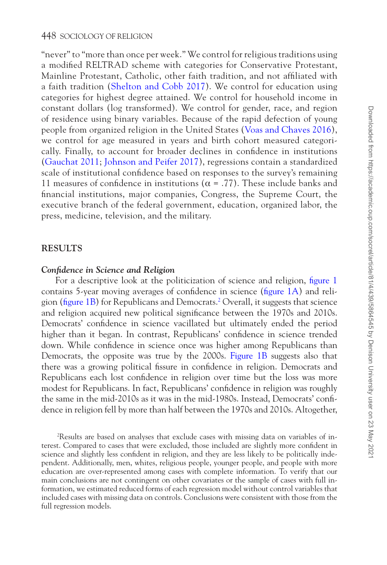"never" to "more than once per week." We control for religious traditions using a modified RELTRAD scheme with categories for Conservative Protestant, Mainline Protestant, Catholic, other faith tradition, and not affiliated with a faith tradition ([Shelton and Cobb 2017](#page-22-10)). We control for education using categories for highest degree attained. We control for household income in constant dollars (log transformed). We control for gender, race, and region of residence using binary variables. Because of the rapid defection of young people from organized religion in the United States ([Voas and Chaves 2016](#page-22-11)), we control for age measured in years and birth cohort measured categorically. Finally, to account for broader declines in confidence in institutions [\(Gauchat 2011](#page-20-13); [Johnson and Peifer 2017](#page-21-20)), regressions contain a standardized scale of institutional confidence based on responses to the survey's remaining 11 measures of confidence in institutions ( $\alpha = .77$ ). These include banks and financial institutions, major companies, Congress, the Supreme Court, the executive branch of the federal government, education, organized labor, the press, medicine, television, and the military.

# **RESULTS**

# *Confidence in Science and Religion*

For a descriptive look at the politicization of science and religion, [figure 1](#page-10-0) contains 5-year moving averages of confidence in science ([figure 1A](#page-10-0)) and religion [\(figure 1B\)](#page-10-0) for Republicans and Democrats[.2](#page-9-0) Overall, it suggests that science and religion acquired new political significance between the 1970s and 2010s. Democrats' confidence in science vacillated but ultimately ended the period higher than it began. In contrast, Republicans' confidence in science trended down. While confidence in science once was higher among Republicans than Democrats, the opposite was true by the 2000s. [Figure 1B](#page-10-0) suggests also that there was a growing political fissure in confidence in religion. Democrats and Republicans each lost confidence in religion over time but the loss was more modest for Republicans. In fact, Republicans' confidence in religion was roughly the same in the mid-2010s as it was in the mid-1980s. Instead, Democrats' confidence in religion fell by more than half between the 1970s and 2010s. Altogether,

<span id="page-9-0"></span>2 Results are based on analyses that exclude cases with missing data on variables of interest. Compared to cases that were excluded, those included are slightly more confident in science and slightly less confident in religion, and they are less likely to be politically independent. Additionally, men, whites, religious people, younger people, and people with more education are over-represented among cases with complete information. To verify that our main conclusions are not contingent on other covariates or the sample of cases with full information, we estimated reduced forms of each regression model without control variables that included cases with missing data on controls. Conclusions were consistent with those from the full regression models.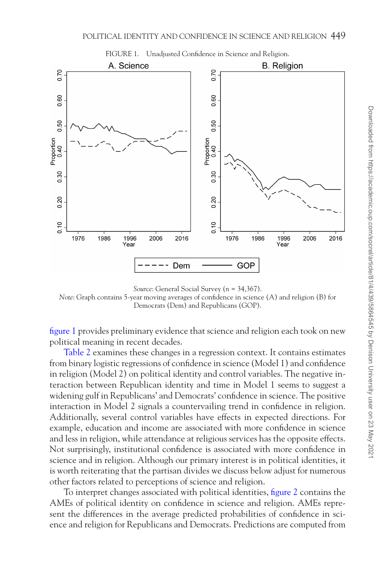<span id="page-10-0"></span>

*Source*: General Social Survey (*n* = 34,367). *Note*: Graph contains 5-year moving averages of confidence in science (A) and religion (B) for Democrats (Dem) and Republicans (GOP).

[figure 1](#page-10-0) provides preliminary evidence that science and religion each took on new political meaning in recent decades.

[Table 2](#page-11-0) examines these changes in a regression context. It contains estimates from binary logistic regressions of confidence in science (Model 1) and confidence in religion (Model 2) on political identity and control variables. The negative interaction between Republican identity and time in Model 1 seems to suggest a widening gulf in Republicans' and Democrats' confidence in science. The positive interaction in Model 2 signals a countervailing trend in confidence in religion. Additionally, several control variables have effects in expected directions. For example, education and income are associated with more confidence in science and less in religion, while attendance at religious services has the opposite effects. Not surprisingly, institutional confidence is associated with more confidence in science and in religion. Although our primary interest is in political identities, it is worth reiterating that the partisan divides we discuss below adjust for numerous other factors related to perceptions of science and religion.

To interpret changes associated with political identities, [figure 2](#page-12-0) contains the AMEs of political identity on confidence in science and religion. AMEs represent the differences in the average predicted probabilities of confidence in science and religion for Republicans and Democrats. Predictions are computed from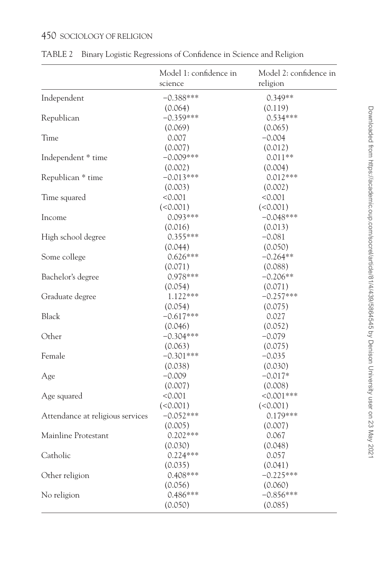|                                  | Model 1: confidence in<br>science | Model 2: confidence in<br>religion |
|----------------------------------|-----------------------------------|------------------------------------|
| Independent                      | $-0.388***$                       | $0.349**$                          |
|                                  | (0.064)                           | (0.119)                            |
| Republican                       | $-0.359***$                       | $0.534***$                         |
|                                  | (0.069)                           | (0.065)                            |
| Time                             | 0.007                             | $-0.004$                           |
|                                  | (0.007)                           | (0.012)                            |
| Independent * time               | $-0.009***$                       | $0.011**$                          |
|                                  | (0.002)                           | (0.004)                            |
| Republican * time                | $-0.013***$                       | $0.012***$                         |
|                                  | (0.003)                           | (0.002)                            |
| Time squared                     | < 0.001                           | < 0.001                            |
|                                  | (<0.001)                          | (<0.001)                           |
| Income                           | $0.093***$                        | $-0.048***$                        |
|                                  | (0.016)                           | (0.013)                            |
| High school degree               | $0.355***$                        | $-0.081$                           |
|                                  | (0.044)                           | (0.050)                            |
| Some college                     | $0.626***$                        | $-0.264**$                         |
|                                  | (0.071)                           | (0.088)                            |
| Bachelor's degree                | 0.978***                          | $-0.206**$                         |
|                                  | (0.054)                           | (0.071)                            |
| Graduate degree                  | $1.122***$                        | $-0.257***$                        |
|                                  | (0.054)                           | (0.075)                            |
| <b>Black</b>                     | $-0.617***$                       | 0.027                              |
|                                  | (0.046)                           | (0.052)                            |
| Other                            | $-0.304***$                       | $-0.079$                           |
|                                  | (0.063)                           | (0.075)                            |
| Female                           | $-0.301***$                       | $-0.035$                           |
|                                  | (0.038)                           | (0.030)                            |
| Age                              | $-0.009$                          | $-0.017*$                          |
|                                  | (0.007)                           | (0.008)                            |
| Age squared                      | < 0.001                           | $< 0.001$ ***                      |
|                                  | (<0.001)                          | (<0.001)                           |
| Attendance at religious services | $-0.052***$                       | $0.179***$                         |
|                                  | (0.005)                           | (0.007)                            |
| Mainline Protestant              | $0.202***$                        | 0.067                              |
|                                  | (0.030)                           | (0.048)                            |
| Catholic                         | $0.224***$                        | 0.057                              |
|                                  | (0.035)                           | (0.041)                            |
| Other religion                   | $0.408***$                        | $-0.225***$                        |
|                                  | (0.056)                           | (0.060)                            |
| No religion                      | $0.486***$                        | $-0.856***$                        |
|                                  | (0.050)                           | (0.085)                            |

<span id="page-11-0"></span>TABLE 2 Binary Logistic Regressions of Confidence in Science and Religion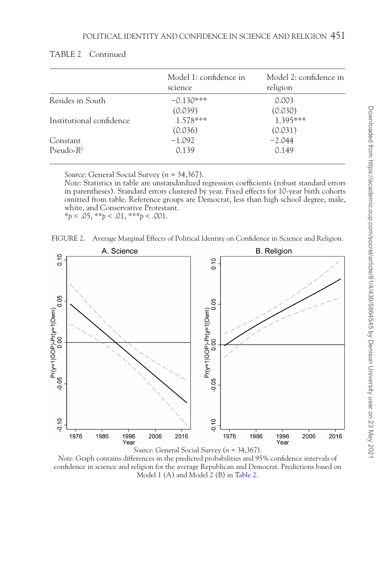|                          | Model 1: confidence in<br>science | Model 2: confidence in<br>religion |
|--------------------------|-----------------------------------|------------------------------------|
| Resides in South         | $-0.130***$                       | 0.003                              |
|                          | (0.039)                           | (0.030)                            |
| Institutional confidence | 1.578***                          | 1.395***                           |
|                          | (0.036)                           | (0.031)                            |
| Constant                 | $-1.092$                          | $-2.044$                           |
| Pseudo- $R^2$            | 0.139                             | 0.149                              |

*Source*: General Social Survey (*n* = 34,367).

*Note*: Statistics in table are unstandardized regression coefficients (robust standard errors in parentheses). Standard errors clustered by year. Fixed effects for 10-year birth cohorts omitted from table. Reference groups are Democrat, less than high school degree, male, white, and Conservative Protestant. \**p* < .05, \*\**p* < .01, \*\*\**p* < .001.

<span id="page-12-0"></span>



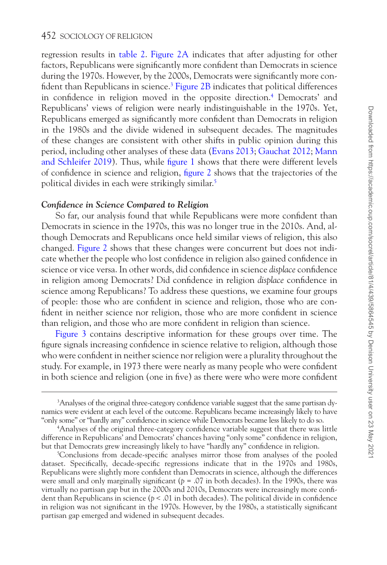regression results in table 2. Figure 2A indicates that after adjusting for other factors, Republicans were significantly more confident than Democrats in science during the 1970s. However, by the 2000s, Democrats were significantly more con-fident than Republicans in science.<sup>3</sup> [Figure 2B](#page-12-0) indicates that political differences in confidence in religion moved in the opposite direction.<sup>4</sup> Democrats' and Republicans' views of religion were nearly indistinguishable in the 1970s. Yet, Republicans emerged as significantly more confident than Democrats in religion in the 1980s and the divide widened in subsequent decades. The magnitudes of these changes are consistent with other shifts in public opinion during this period, including other analyses of these data [\(Evans 2013](#page-20-3); [Gauchat 2012](#page-21-0); [Mann](#page-21-3)  [and Schleifer 2019](#page-21-3)). Thus, while [figure 1](#page-10-0) shows that there were different levels of confidence in science and religion, [figure 2](#page-12-0) shows that the trajectories of the political divides in each were strikingly similar.[5](#page-13-2)

## *Confidence in Science Compared to Religion*

So far, our analysis found that while Republicans were more confident than Democrats in science in the 1970s, this was no longer true in the 2010s. And, although Democrats and Republicans once held similar views of religion, this also changed. [Figure 2](#page-12-0) shows that these changes were concurrent but does not indicate whether the people who lost confidence in religion also gained confidence in science or vice versa. In other words, did confidence in science *displace* confidence in religion among Democrats? Did confidence in religion *displace* confidence in science among Republicans? To address these questions, we examine four groups of people: those who are confident in science and religion, those who are confident in neither science nor religion, those who are more confident in science than religion, and those who are more confident in religion than science.

Figure 3 contains descriptive information for these groups over time. The figure signals increasing confidence in science relative to religion, although those who were confident in neither science nor religion were a plurality throughout the study. For example, in 1973 there were nearly as many people who were confident in both science and religion (one in five) as there were who were more confident

<span id="page-13-0"></span><sup>3</sup> Analyses of the original three-category confidence variable suggest that the same partisan dynamics were evident at each level of the outcome. Republicans became increasingly likely to have "only some" or "hardly any" confidence in science while Democrats became less likely to do so.

<span id="page-13-1"></span><sup>4</sup> Analyses of the original three-category confidence variable suggest that there was little difference in Republicans' and Democrats' chances having "only some" confidence in religion, but that Democrats grew increasingly likely to have "hardly any" confidence in religion.

<span id="page-13-2"></span><sup>5</sup> Conclusions from decade-specific analyses mirror those from analyses of the pooled dataset. Specifically, decade-specific regressions indicate that in the 1970s and 1980s, Republicans were slightly more confident than Democrats in science, although the differences were small and only marginally significant ( $p = .07$  in both decades). In the 1990s, there was virtually no partisan gap but in the 2000s and 2010s, Democrats were increasingly more confident than Republicans in science (*p* < .01 in both decades). The political divide in confidence in religion was not significant in the 1970s. However, by the 1980s, a statistically significant partisan gap emerged and widened in subsequent decades.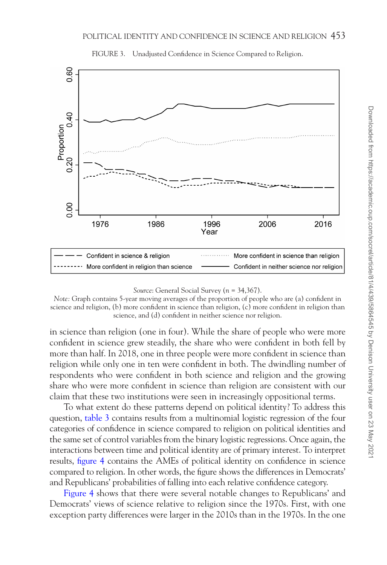

<span id="page-14-0"></span>FIGURE 3. Unadjusted Confidence in Science Compared to Religion.

in science than religion (one in four). While the share of people who were more confident in science grew steadily, the share who were confident in both fell by more than half. In 2018, one in three people were more confident in science than religion while only one in ten were confident in both. The dwindling number of respondents who were confident in both science and religion and the growing share who were more confident in science than religion are consistent with our claim that these two institutions were seen in increasingly oppositional terms.

To what extent do these patterns depend on political identity? To address this question, [table 3](#page-15-0) contains results from a multinomial logistic regression of the four categories of confidence in science compared to religion on political identities and the same set of control variables from the binary logistic regressions. Once again, the interactions between time and political identity are of primary interest. To interpret results, [figure 4](#page-17-0) contains the AMEs of political identity on confidence in science compared to religion. In other words, the figure shows the differences in Democrats' and Republicans' probabilities of falling into each relative confidence category.

[Figure 4](#page-17-0) shows that there were several notable changes to Republicans' and Democrats' views of science relative to religion since the 1970s. First, with one exception party differences were larger in the 2010s than in the 1970s. In the one

*Source*: General Social Survey (*n* = 34,367).

*Note:* Graph contains 5-year moving averages of the proportion of people who are (a) confident in science and religion, (b) more confident in science than religion, (c) more confident in religion than science, and (d) confident in neither science nor religion.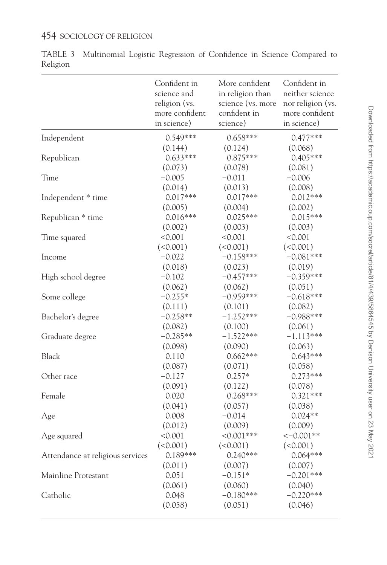|                                  | Confident in   | More confident    | Confident in      |
|----------------------------------|----------------|-------------------|-------------------|
|                                  | science and    | in religion than  | neither science   |
|                                  | religion (vs.  | science (vs. more | nor religion (vs. |
|                                  | more confident | confident in      | more confident    |
|                                  | in science)    | science)          | in science)       |
| Independent                      | $0.549***$     | $0.658***$        | $0.477***$        |
| Republican                       | (0.144)        | (0.124)           | (0.068)           |
|                                  | $0.633***$     | 0.875***          | $0.405***$        |
|                                  | (0.073)        | (0.078)           | (0.081)           |
| Time                             | $-0.005$       | $-0.011$          | $-0.006$          |
|                                  | (0.014)        | (0.013)           | (0.008)           |
| Independent * time               | $0.017***$     | $0.017***$        | $0.012***$        |
|                                  | (0.005)        | (0.004)           | (0.002)           |
| Republican * time                | $0.016***$     | $0.025***$        | $0.015***$        |
|                                  | (0.002)        | (0.003)           | (0.003)           |
| Time squared                     | < 0.001        | < 0.001           | < 0.001           |
|                                  | (<0.001)       | (<0.001)          | (<0.001)          |
| Income                           | $-0.022$       | $-0.158***$       | $-0.081***$       |
|                                  | (0.018)        | (0.023)           | (0.019)           |
| High school degree               | $-0.102$       | $-0.457***$       | $-0.359***$       |
|                                  | (0.062)        | (0.062)           | (0.051)           |
| Some college                     | $-0.255*$      | $-0.959***$       | $-0.618***$       |
|                                  | (0.111)        | (0.101)           | (0.082)           |
| Bachelor's degree                | $-0.258**$     | $-1.252***$       | $-0.988***$       |
|                                  | (0.082)        | (0.100)           | (0.061)           |
| Graduate degree                  | $-0.285**$     | $-1.522***$       | $-1.113***$       |
|                                  | (0.098)        | (0.090)           | (0.063)           |
| <b>Black</b>                     | 0.110          | $0.662***$        | $0.643***$        |
|                                  | (0.087)        | (0.071)           | (0.058)           |
| Other race                       | $-0.127$       | $0.257*$          | $0.273***$        |
|                                  | (0.091)        | (0.122)           | (0.078)           |
| Female                           | 0.020          | $0.268***$        | $0.321***$        |
|                                  | (0.041)        | (0.057)           | (0.038)           |
| Age                              | 0.008          | $-0.014$          | $0.024**$         |
|                                  | (0.012)        | (0.009)           | (0.009)           |
| Age squared                      | < 0.001        | $< 0.001$ ***     | $<-0.001**$       |
|                                  | (<0.001)       | (<0.001)          | (<0.001)          |
| Attendance at religious services | 0.189***       | $0.240***$        | $0.064***$        |
|                                  | (0.011)        | (0.007)           | (0.007)           |
| Mainline Protestant              | 0.051          | $-0.151*$         | $-0.201***$       |
|                                  | (0.061)        | (0.060)           | (0.040)           |
| Catholic                         | 0.048          | $-0.180***$       | $-0.220***$       |
|                                  | (0.058)        | (0.051)           | (0.046)           |

<span id="page-15-0"></span>TABLE 3 Multinomial Logistic Regression of Confidence in Science Compared to Religion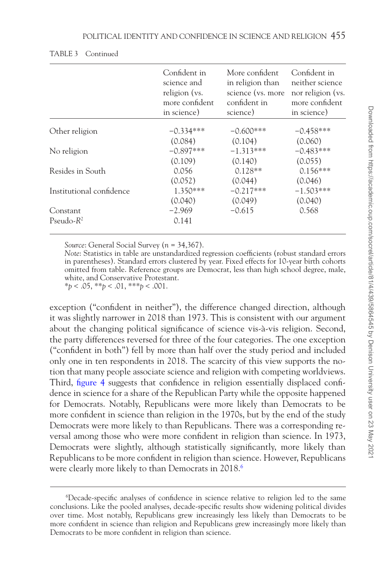|                          | Confident in<br>science and<br>religion (vs.<br>more confident.<br>in science) | More confident<br>in religion than<br>science (vs. more<br>confident in<br>science) | Confident in<br>neither science<br>nor religion (vs.<br>more confident<br>in science) |
|--------------------------|--------------------------------------------------------------------------------|-------------------------------------------------------------------------------------|---------------------------------------------------------------------------------------|
| Other religion           | $-0.334***$                                                                    | $-0.600***$                                                                         | $-0.458***$                                                                           |
|                          | (0.084)                                                                        | (0.104)                                                                             | (0.060)                                                                               |
| No religion              | $-0.897***$                                                                    | $-1.313***$                                                                         | $-0.483***$                                                                           |
|                          | (0.109)                                                                        | (0.140)                                                                             | (0.055)                                                                               |
| Resides in South         | 0.056                                                                          | $0.128**$                                                                           | $0.156***$                                                                            |
|                          | (0.052)                                                                        | (0.044)                                                                             | (0.046)                                                                               |
| Institutional confidence | $1.350***$                                                                     | $-0.217***$                                                                         | $-1.503***$                                                                           |
|                          | (0.040)                                                                        | (0.049)                                                                             | (0.040)                                                                               |
| Constant                 | $-2.969$                                                                       | $-0.615$                                                                            | 0.568                                                                                 |
| Pseudo- $R^2$            | 0.141                                                                          |                                                                                     |                                                                                       |

#### TABLE 3 Continued

*Source*: General Social Survey (*n* = 34,367).

*Note*: Statistics in table are unstandardized regression coefficients (robust standard errors in parentheses). Standard errors clustered by year. Fixed effects for 10-year birth cohorts omitted from table. Reference groups are Democrat, less than high school degree, male, white, and Conservative Protestant. \**p* < .05, \*\**p* < .01, \*\*\**p* < .001.

exception ("confident in neither"), the difference changed direction, although it was slightly narrower in 2018 than 1973. This is consistent with our argument about the changing political significance of science vis-à-vis religion. Second, the party differences reversed for three of the four categories. The one exception ("confident in both") fell by more than half over the study period and included only one in ten respondents in 2018. The scarcity of this view supports the notion that many people associate science and religion with competing worldviews. Third, figure 4 suggests that confidence in religion essentially displaced confidence in science for a share of the Republican Party while the opposite happened for Democrats. Notably, Republicans were more likely than Democrats to be more confident in science than religion in the 1970s, but by the end of the study Democrats were more likely to than Republicans. There was a corresponding reversal among those who were more confident in religion than science. In 1973, Democrats were slightly, although statistically significantly, more likely than Republicans to be more confident in religion than science. However, Republicans were clearly more likely to than Democrats in 2018.<sup>[6](#page-16-0)</sup>

<span id="page-16-0"></span><sup>6</sup> Decade-specific analyses of confidence in science relative to religion led to the same conclusions. Like the pooled analyses, decade-specific results show widening political divides over time. Most notably, Republicans grew increasingly less likely than Democrats to be more confident in science than religion and Republicans grew increasingly more likely than Democrats to be more confident in religion than science.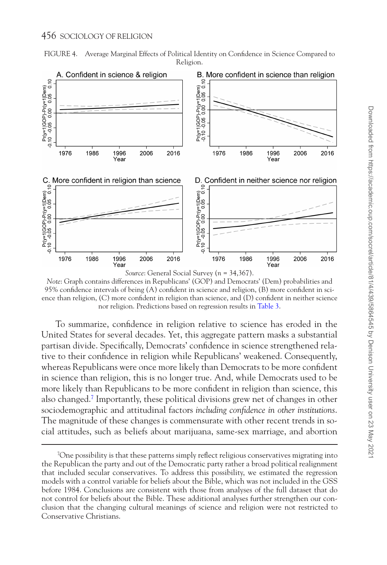<span id="page-17-0"></span>



*Note*: Graph contains differences in Republicans' (GOP) and Democrats' (Dem) probabilities and 95% confidence intervals of being (A) confident in science and religion, (B) more confident in science than religion, (C) more confident in religion than science, and (D) confident in neither science nor religion. Predictions based on regression results in [Table 3](#page-15-0).

To summarize, confidence in religion relative to science has eroded in the United States for several decades. Yet, this aggregate pattern masks a substantial partisan divide. Specifically, Democrats' confidence in science strengthened relative to their confidence in religion while Republicans' weakened. Consequently, whereas Republicans were once more likely than Democrats to be more confident in science than religion, this is no longer true. And, while Democrats used to be more likely than Republicans to be more confident in religion than science, this also changed.[7](#page-17-1) Importantly, these political divisions grew net of changes in other sociodemographic and attitudinal factors *including confidence in other institutions*. The magnitude of these changes is commensurate with other recent trends in social attitudes, such as beliefs about marijuana, same-sex marriage, and abortion

<span id="page-17-1"></span><sup>&</sup>lt;sup>7</sup>One possibility is that these patterns simply reflect religious conservatives migrating into the Republican the party and out of the Democratic party rather a broad political realignment that included secular conservatives. To address this possibility, we estimated the regression models with a control variable for beliefs about the Bible, which was not included in the GSS before 1984. Conclusions are consistent with those from analyses of the full dataset that do not control for beliefs about the Bible. These additional analyses further strengthen our conclusion that the changing cultural meanings of science and religion were not restricted to Conservative Christians.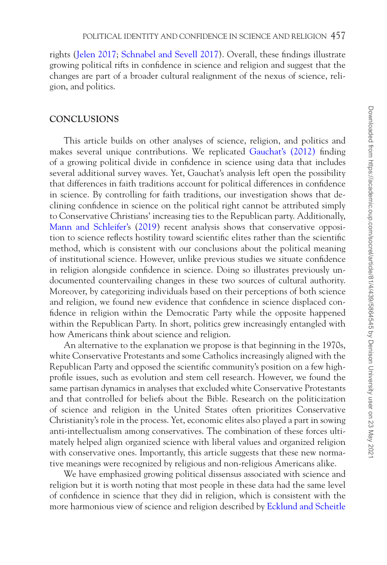rights ([Jelen 2017;](#page-21-15) [Schnabel and Sevell 2017](#page-21-21)). Overall, these findings illustrate growing political rifts in confidence in science and religion and suggest that the changes are part of a broader cultural realignment of the nexus of science, religion, and politics.

# **CONCLUSIONS**

This article builds on other analyses of science, religion, and politics and makes several unique contributions. We replicated [Gauchat's \(2012\)](#page-21-0) finding of a growing political divide in confidence in science using data that includes several additional survey waves. Yet, Gauchat's analysis left open the possibility that differences in faith traditions account for political differences in confidence in science. By controlling for faith traditions, our investigation shows that declining confidence in science on the political right cannot be attributed simply to Conservative Christians' increasing ties to the Republican party. Additionally, [Mann and Schleifer's](#page-21-3) [\(2019](#page-21-3)) recent analysis shows that conservative opposition to science reflects hostility toward scientific elites rather than the scientific method, which is consistent with our conclusions about the political meaning of institutional science. However, unlike previous studies we situate confidence in religion alongside confidence in science. Doing so illustrates previously undocumented countervailing changes in these two sources of cultural authority. Moreover, by categorizing individuals based on their perceptions of both science and religion, we found new evidence that confidence in science displaced confidence in religion within the Democratic Party while the opposite happened within the Republican Party. In short, politics grew increasingly entangled with how Americans think about science and religion.

An alternative to the explanation we propose is that beginning in the 1970s, white Conservative Protestants and some Catholics increasingly aligned with the Republican Party and opposed the scientific community's position on a few highprofile issues, such as evolution and stem cell research. However, we found the same partisan dynamics in analyses that excluded white Conservative Protestants and that controlled for beliefs about the Bible. Research on the politicization of science and religion in the United States often prioritizes Conservative Christianity's role in the process. Yet, economic elites also played a part in sowing anti-intellectualism among conservatives. The combination of these forces ultimately helped align organized science with liberal values and organized religion with conservative ones. Importantly, this article suggests that these new normative meanings were recognized by religious and non-religious Americans alike.

We have emphasized growing political dissensus associated with science and religion but it is worth noting that most people in these data had the same level of confidence in science that they did in religion, which is consistent with the more harmonious view of science and religion described by [Ecklund and Scheitle](#page-20-14)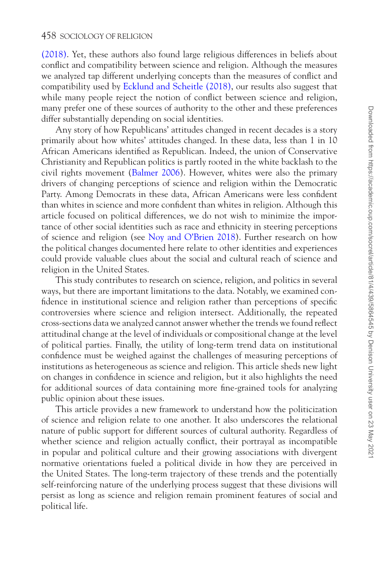[\(2018\).](#page-20-14) Yet, these authors also found large religious differences in beliefs about conflict and compatibility between science and religion. Although the measures we analyzed tap different underlying concepts than the measures of conflict and compatibility used by [Ecklund and Scheitle \(2018\)](#page-20-14), our results also suggest that while many people reject the notion of conflict between science and religion, many prefer one of these sources of authority to the other and these preferences differ substantially depending on social identities.

Any story of how Republicans' attitudes changed in recent decades is a story primarily about how whites' attitudes changed. In these data, less than 1 in 10 African Americans identified as Republican. Indeed, the union of Conservative Christianity and Republican politics is partly rooted in the white backlash to the civil rights movement [\(Balmer 2006](#page-20-15)). However, whites were also the primary drivers of changing perceptions of science and religion within the Democratic Party. Among Democrats in these data, African Americans were less confident than whites in science and more confident than whites in religion. Although this article focused on political differences, we do not wish to minimize the importance of other social identities such as race and ethnicity in steering perceptions of science and religion (see [Noy and O'Brien 2018](#page-21-22)). Further research on how the political changes documented here relate to other identities and experiences could provide valuable clues about the social and cultural reach of science and religion in the United States.

This study contributes to research on science, religion, and politics in several ways, but there are important limitations to the data. Notably, we examined confidence in institutional science and religion rather than perceptions of specific controversies where science and religion intersect. Additionally, the repeated cross-sections data we analyzed cannot answer whether the trends we found reflect attitudinal change at the level of individuals or compositional change at the level of political parties. Finally, the utility of long-term trend data on institutional confidence must be weighed against the challenges of measuring perceptions of institutions as heterogeneous as science and religion. This article sheds new light on changes in confidence in science and religion, but it also highlights the need for additional sources of data containing more fine-grained tools for analyzing public opinion about these issues.

This article provides a new framework to understand how the politicization of science and religion relate to one another. It also underscores the relational nature of public support for different sources of cultural authority. Regardless of whether science and religion actually conflict, their portrayal as incompatible in popular and political culture and their growing associations with divergent normative orientations fueled a political divide in how they are perceived in the United States. The long-term trajectory of these trends and the potentially self-reinforcing nature of the underlying process suggest that these divisions will persist as long as science and religion remain prominent features of social and political life.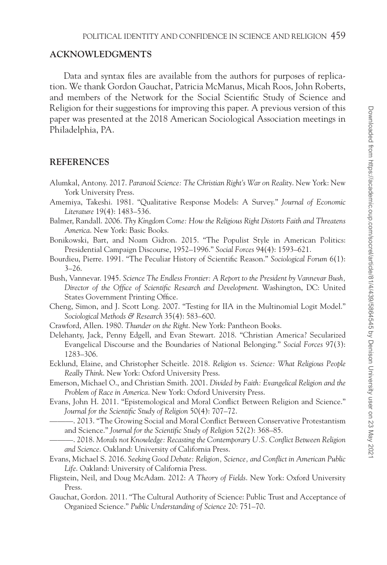# **ACKNOWLEDGMENTS**

Data and syntax files are available from the authors for purposes of replication. We thank Gordon Gauchat, Patricia McManus, Micah Roos, John Roberts, and members of the Network for the Social Scientific Study of Science and Religion for their suggestions for improving this paper. A previous version of this paper was presented at the 2018 American Sociological Association meetings in Philadelphia, PA.

# **REFERENCES**

- <span id="page-20-0"></span>Alumkal, Antony. 2017. *Paranoid Science: The Christian Right's War on Reality*. New York: New York University Press.
- <span id="page-20-12"></span>Amemiya, Takeshi. 1981. "Qualitative Response Models: A Survey." *Journal of Economic Literature* 19(4): 1483–536.
- <span id="page-20-15"></span>Balmer, Randall. 2006. *Thy Kingdom Come: How the Religious Right Distorts Faith and Threatens America*. New York: Basic Books.
- <span id="page-20-6"></span>Bonikowski, Bart, and Noam Gidron. 2015. "The Populist Style in American Politics: Presidential Campaign Discourse, 1952–1996." *Social Forces* 94(4): 1593–621.
- <span id="page-20-5"></span>Bourdieu, Pierre. 1991. "The Peculiar History of Scientific Reason." *Sociological Forum* 6(1):  $3 - 26.$
- Bush, Vannevar. 1945. *Science The Endless Frontier: A Report to the President by Vannevar Bush, Director of the Office of Scientific Research and Development*. Washington, DC: United States Government Printing Office.
- <span id="page-20-11"></span>Cheng, Simon, and J. Scott Long. 2007. "Testing for IIA in the Multinomial Logit Model." *Sociological Methods & Research* 35(4): 583–600.
- <span id="page-20-7"></span>Crawford, Allen. 1980. *Thunder on the Right*. New York: Pantheon Books.
- <span id="page-20-10"></span>Delehanty, Jack, Penny Edgell, and Evan Stewart. 2018. "Christian America? Secularized Evangelical Discourse and the Boundaries of National Belonging." *Social Forces* 97(3): 1283–306.
- <span id="page-20-14"></span>Ecklund, Elaine, and Christopher Scheitle. 2018. *Religion vs. Science: What Religious People Really Think*. New York: Oxford University Press.
- <span id="page-20-4"></span>Emerson, Michael O., and Christian Smith. 2001. *Divided by Faith: Evangelical Religion and the Problem of Race in America*. New York: Oxford University Press.
- <span id="page-20-8"></span><span id="page-20-3"></span>Evans, John H. 2011. "Epistemological and Moral Conflict Between Religion and Science." *Journal for the Scientific Study of Religion* 50(4): 707–72.
	- ———. 2013. "The Growing Social and Moral Conflict Between Conservative Protestantism and Science." *Journal for the Scientific Study of Religion* 52(2): 368–85.
- <span id="page-20-1"></span>———. 2018. *Morals not Knowledge: Recasting the Contemporary U.S. Conflict Between Religion and Science*. Oakland: University of California Press.
- <span id="page-20-9"></span>Evans, Michael S. 2016. *Seeking Good Debate: Religion, Science, and Conflict in American Public Life*. Oakland: University of California Press.
- <span id="page-20-2"></span>Fligstein, Neil, and Doug McAdam. 2012: *A Theory of Fields*. New York: Oxford University Press.
- <span id="page-20-13"></span>Gauchat, Gordon. 2011. "The Cultural Authority of Science: Public Trust and Acceptance of Organized Science." *Public Understanding of Science* 20: 751–70.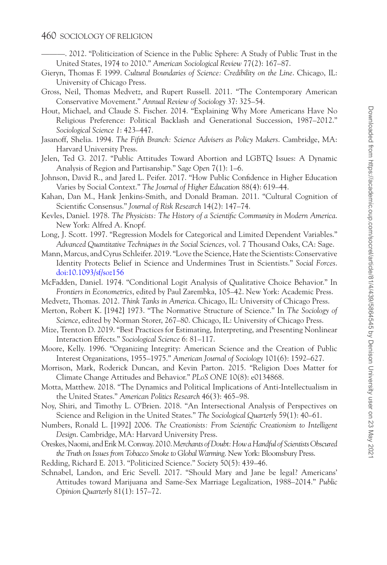<span id="page-21-0"></span>———. 2012. "Politicization of Science in the Public Sphere: A Study of Public Trust in the United States, 1974 to 2010." *American Sociological Review* 77(2): 167–87.

- <span id="page-21-2"></span>Gieryn, Thomas F. 1999. *Cultural Boundaries of Science: Credibility on the Line*. Chicago, IL: University of Chicago Press.
- <span id="page-21-9"></span>Gross, Neil, Thomas Medvetz, and Rupert Russell. 2011. "The Contemporary American Conservative Movement." *Annual Review of Sociology* 37: 325–54.
- <span id="page-21-1"></span>Hout, Michael, and Claude S. Fischer. 2014. "Explaining Why More Americans Have No Religious Preference: Political Backlash and Generational Succession, 1987–2012." *Sociological Science 1*: 423–447.
- <span id="page-21-8"></span>Jasanoff, Shelia. 1994. *The Fifth Branch: Science Advisers as Policy Makers*. Cambridge, MA: Harvard University Press.
- <span id="page-21-15"></span>Jelen, Ted G. 2017. "Public Attitudes Toward Abortion and LGBTQ Issues: A Dynamic Analysis of Region and Partisanship." *Sage Open* 7(1): 1–6.
- <span id="page-21-20"></span>Johnson, David R., and Jared L. Peifer. 2017. "How Public Confidence in Higher Education Varies by Social Context." *The Journal of Higher Education* 88(4): 619–44.
- <span id="page-21-13"></span>Kahan, Dan M., Hank Jenkins-Smith, and Donald Braman. 2011. "Cultural Cognition of Scientific Consensus." *Journal of Risk Research* 14(2): 147–74.
- <span id="page-21-7"></span>Kevles, Daniel. 1978. *The Physicists: The History of a Scientific Community in Modern America*. New York: Alfred A. Knopf.
- <span id="page-21-17"></span>Long, J. Scott. 1997. "Regression Models for Categorical and Limited Dependent Variables." *Advanced Quantitative Techniques in the Social Sciences*, vol. 7 Thousand Oaks, CA: Sage.
- <span id="page-21-3"></span>Mann, Marcus, and Cyrus Schleifer. 2019. "Love the Science, Hate the Scientists: Conservative Identity Protects Belief in Science and Undermines Trust in Scientists." *Social Forces*. [doi:10.1093/sf/soz156](https://doi.org/doi:10.1093/sf/soz156)
- <span id="page-21-18"></span>McFadden, Daniel. 1974. "Conditional Logit Analysis of Qualitative Choice Behavior." In *Frontiers in Econometrics*, edited by Paul Zarembka, 105–42. New York: Academic Press.
- <span id="page-21-10"></span>Medvetz, Thomas. 2012. *Think Tanks in America*. Chicago, IL: University of Chicago Press.
- <span id="page-21-6"></span>Merton, Robert K. [1942] 1973. "The Normative Structure of Science." In *The Sociology of Science*, edited by Norman Storer, 267–80. Chicago, IL: University of Chicago Press.
- <span id="page-21-19"></span>Mize, Trenton D. 2019. "Best Practices for Estimating, Interpreting, and Presenting Nonlinear Interaction Effects." *Sociological Science* 6: 81–117.
- <span id="page-21-12"></span>Moore, Kelly. 1996. "Organizing Integrity: American Science and the Creation of Public Interest Organizations, 1955–1975." *American Journal of Sociology* 101(6): 1592–627.
- <span id="page-21-4"></span>Morrison, Mark, Roderick Duncan, and Kevin Parton. 2015. "Religion Does Matter for Climate Change Attitudes and Behavior." *PLoS ONE* 10(8): e0134868.
- <span id="page-21-5"></span>Motta, Matthew. 2018. "The Dynamics and Political Implications of Anti-Intellectualism in the United States." *American Politics Research* 46(3): 465–98.
- <span id="page-21-22"></span>Noy, Shiri, and Timothy L. O'Brien. 2018. "An Intersectional Analysis of Perspectives on Science and Religion in the United States." *The Sociological Quarterly* 59(1): 40–61.
- <span id="page-21-14"></span>Numbers, Ronald L. [1992] 2006. *The Creationists: From Scientific Creationism to Intelligent Design*. Cambridge, MA: Harvard University Press.
- <span id="page-21-11"></span>Oreskes, Naomi, and Erik M. Conway. 2010. *Merchants of Doubt: How a Handful of Scientists Obscured the Truth on Issues from Tobacco Smoke to Global Warming*. New York: Bloomsbury Press.
- <span id="page-21-16"></span>Redding, Richard E. 2013. "Politicized Science." *Society* 50(5): 439–46.
- <span id="page-21-21"></span>Schnabel, Landon, and Eric Sevell. 2017. "Should Mary and Jane be legal? Americans' Attitudes toward Marijuana and Same-Sex Marriage Legalization, 1988–2014." *Public Opinion Quarterly* 81(1): 157–72.